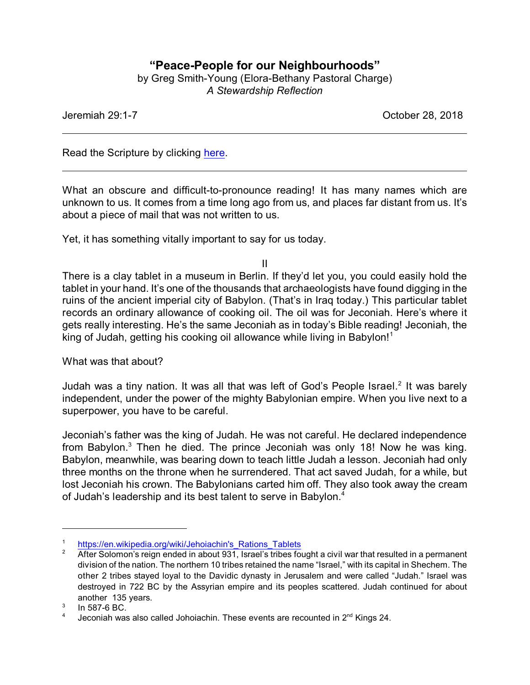## **"Peace-People for our Neighbourhoods"**

by Greg Smith-Young (Elora-Bethany Pastoral Charge) *A Stewardship Reflection*

Jeremiah 29:1-7 October 28, 2018

Read the Scripture by clicking [here](file:///|//The%20prophet%20Jeremiah%20sent%20a%20letter%20from%20Jerusalem%20to%20the%20few%20surviving%20elders%20among%20the%20exiles,%20to%20the%20priests%20and%20the%20prophets,%20and%20to%20all%20the%20people%20Nebuchadnezzar%20had%20taken%20to%20Babylon%20from%20Jerusalem.%20The%20letter%20was%20sent%20after%20King%20Jeconiah,%20the%20queen%20mothe).

What an obscure and difficult-to-pronounce reading! It has many names which are unknown to us. It comes from a time long ago from us, and places far distant from us. It's about a piece of mail that was not written to us.

Yet, it has something vitally important to say for us today.

II

There is a clay tablet in a museum in Berlin. If they'd let you, you could easily hold the tablet in your hand. It's one of the thousands that archaeologists have found digging in the ruins of the ancient imperial city of Babylon. (That's in Iraq today.) This particular tablet records an ordinary allowance of cooking oil. The oil was for Jeconiah. Here's where it gets really interesting. He's the same Jeconiah as in today's Bible reading! Jeconiah, the king of Judah, getting his cooking oil allowance while living in Babylon!<sup>1</sup>

What was that about?

Judah was a tiny nation. It was all that was left of God's People Israel.<sup>2</sup> It was barely independent, under the power of the mighty Babylonian empire. When you live next to a superpower, you have to be careful.

Jeconiah's father was the king of Judah. He was not careful. He declared independence from Babylon. $3$  Then he died. The prince Jeconiah was only 18! Now he was king. Babylon, meanwhile, was bearing down to teach little Judah a lesson. Jeconiah had only three months on the throne when he surrendered. That act saved Judah, for a while, but lost Jeconiah his crown. The Babylonians carted him off. They also took away the cream of Judah's leadership and its best talent to serve in Babylon.<sup>4</sup>

<sup>1</sup> [https://en.wikipedia.org/wiki/Jehoiachin's\\_Rations\\_Tablets](https://en.wikipedia.org/wiki/Jehoiachin)

After Solomon's reign ended in about 931, Israel's tribes fought a civil war that resulted in a permanent division of the nation. The northern 10 tribes retained the name "Israel," with its capital in Shechem. The other 2 tribes stayed loyal to the Davidic dynasty in Jerusalem and were called "Judah." Israel was destroyed in 722 BC by the Assyrian empire and its peoples scattered. Judah continued for about another 135 years.

<sup>3</sup> In 587-6 BC.

<sup>4</sup> Jeconiah was also called Johoiachin. These events are recounted in 2<sup>nd</sup> Kings 24.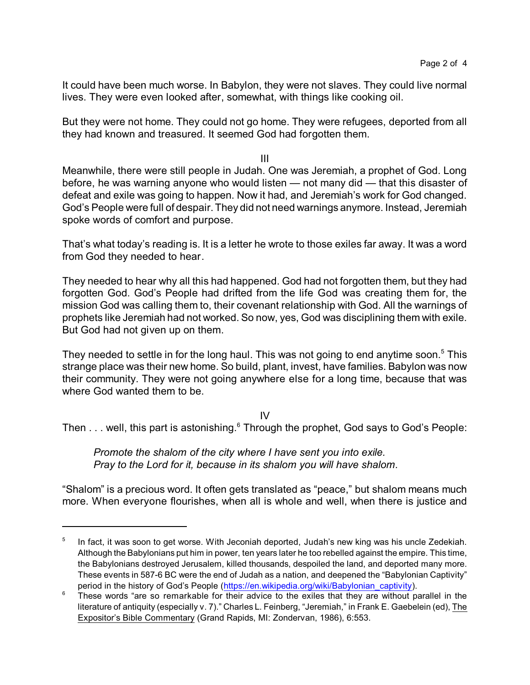It could have been much worse. In Babylon, they were not slaves. They could live normal lives. They were even looked after, somewhat, with things like cooking oil.

But they were not home. They could not go home. They were refugees, deported from all they had known and treasured. It seemed God had forgotten them.

III

Meanwhile, there were still people in Judah. One was Jeremiah, a prophet of God. Long before, he was warning anyone who would listen — not many did — that this disaster of defeat and exile was going to happen. Now it had, and Jeremiah's work for God changed. God's People were full of despair. They did not need warnings anymore. Instead, Jeremiah spoke words of comfort and purpose.

That's what today's reading is. It is a letter he wrote to those exiles far away. It was a word from God they needed to hear.

They needed to hear why all this had happened. God had not forgotten them, but they had forgotten God. God's People had drifted from the life God was creating them for, the mission God was calling them to, their covenant relationship with God. All the warnings of prophets like Jeremiah had not worked. So now, yes, God was disciplining them with exile. But God had not given up on them.

They needed to settle in for the long haul. This was not going to end anytime soon.<sup>5</sup> This strange place was their new home. So build, plant, invest, have families. Babylon was now their community. They were not going anywhere else for a long time, because that was where God wanted them to be.

IV

Then  $\dots$  well, this part is astonishing. $^6$  Through the prophet, God says to God's People:

*Promote the shalom of the city where I have sent you into exile. Pray to the Lord for it, because in its shalom you will have shalom.*

"Shalom" is a precious word. It often gets translated as "peace," but shalom means much more. When everyone flourishes, when all is whole and well, when there is justice and

<sup>5</sup> In fact, it was soon to get worse. With Jeconiah deported, Judah's new king was his uncle Zedekiah. Although the Babylonians put him in power, ten years later he too rebelled against the empire. This time, the Babylonians destroyed Jerusalem, killed thousands, despoiled the land, and deported many more. These events in 587-6 BC were the end of Judah as a nation, and deepened the "Babylonian Captivity" period in the history of God's People [\(https://en.wikipedia.org/wiki/Babylonian\\_captivity]((https://en.wikipedia.org/wiki/Babylonian_captivity)).

<sup>&</sup>lt;sup>6</sup> These words "are so remarkable for their advice to the exiles that they are without parallel in the literature of antiquity (especially v. 7)." Charles L. Feinberg, "Jeremiah," in Frank E. Gaebelein (ed), The Expositor's Bible Commentary (Grand Rapids, MI: Zondervan, 1986), 6:553.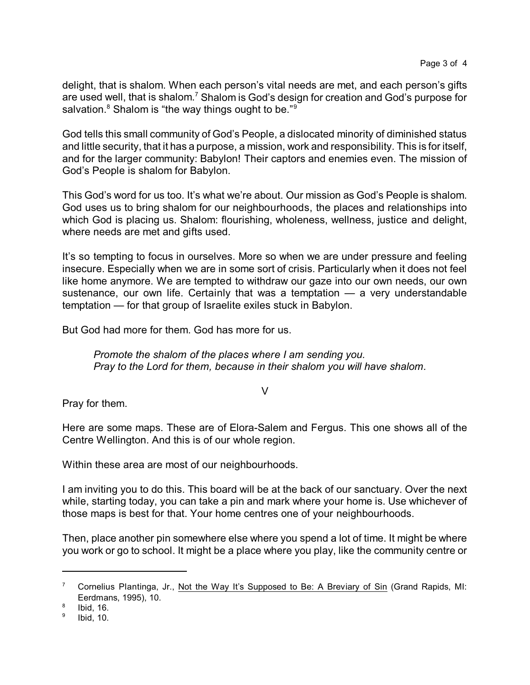delight, that is shalom. When each person's vital needs are met, and each person's gifts are used well, that is shalom. $^7$  Shalom is God's design for creation and God's purpose for salvation. $^8$  Shalom is "the way things ought to be." $^9$ 

God tells this small community of God's People, a dislocated minority of diminished status and little security, that it has a purpose, a mission, work and responsibility. This is for itself, and for the larger community: Babylon! Their captors and enemies even. The mission of God's People is shalom for Babylon.

This God's word for us too. It's what we're about. Our mission as God's People is shalom. God uses us to bring shalom for our neighbourhoods, the places and relationships into which God is placing us. Shalom: flourishing, wholeness, wellness, justice and delight, where needs are met and gifts used.

It's so tempting to focus in ourselves. More so when we are under pressure and feeling insecure. Especially when we are in some sort of crisis. Particularly when it does not feel like home anymore. We are tempted to withdraw our gaze into our own needs, our own sustenance, our own life. Certainly that was a temptation — a very understandable temptation — for that group of Israelite exiles stuck in Babylon.

But God had more for them. God has more for us.

*Promote the shalom of the places where I am sending you. Pray to the Lord for them, because in their shalom you will have shalom.*

V

Pray for them.

Here are some maps. These are of Elora-Salem and Fergus. This one shows all of the Centre Wellington. And this is of our whole region.

Within these area are most of our neighbourhoods.

I am inviting you to do this. This board will be at the back of our sanctuary. Over the next while, starting today, you can take a pin and mark where your home is. Use whichever of those maps is best for that. Your home centres one of your neighbourhoods.

Then, place another pin somewhere else where you spend a lot of time. It might be where you work or go to school. It might be a place where you play, like the community centre or

Cornelius Plantinga, Jr., Not the Way It's Supposed to Be: A Breviary of Sin (Grand Rapids, MI: Eerdmans, 1995), 10.

<sup>8</sup> Ibid, 16.

<sup>9</sup> Ibid, 10.